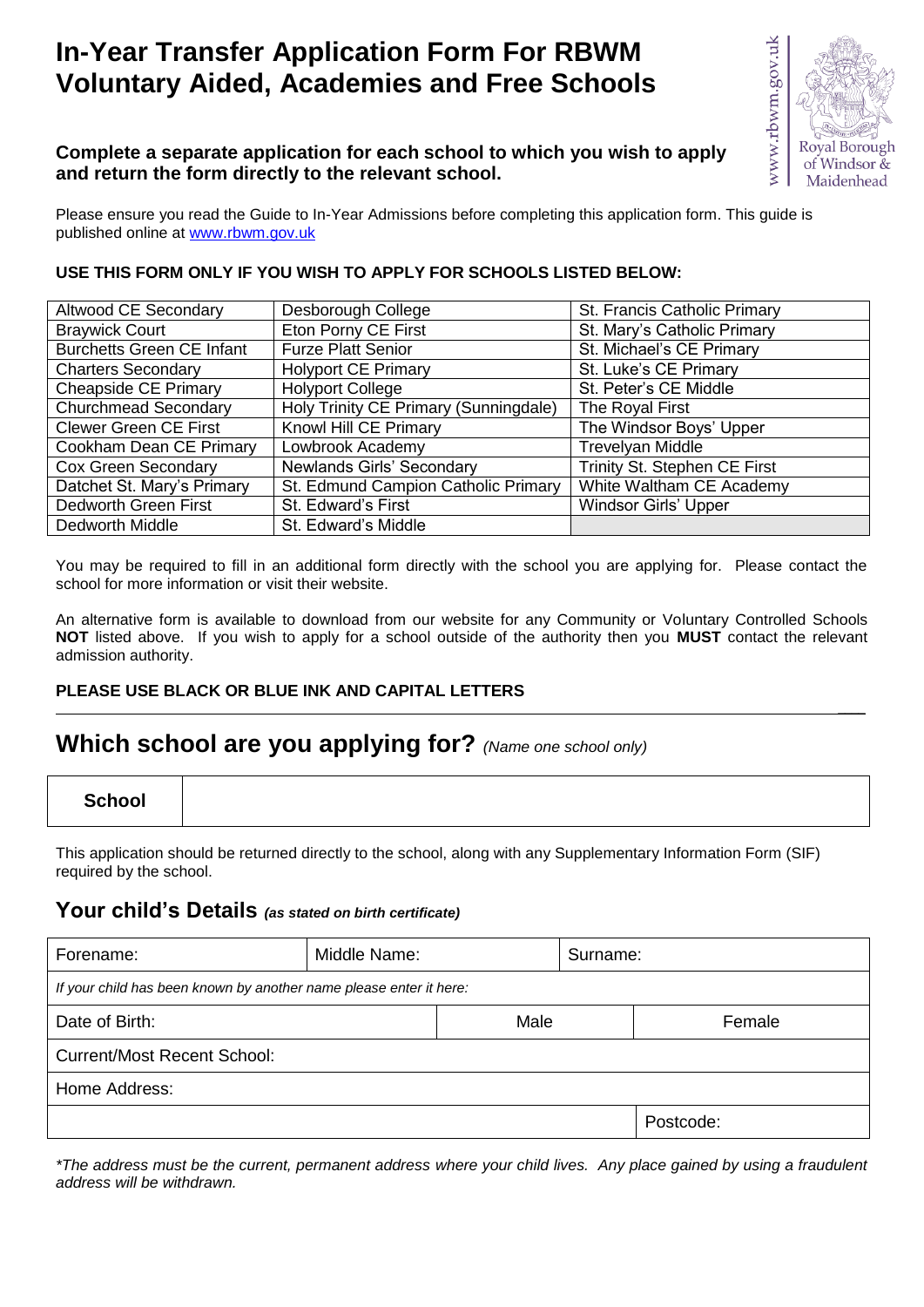# **In-Year Transfer Application Form For RBWM Voluntary Aided, Academies and Free Schools**



#### **Complete a separate application for each school to which you wish to apply and return the form directly to the relevant school.**

Please ensure you read the Guide to In-Year Admissions before completing this application form. This guide is published online at [www.rbwm.gov.uk](http://www.rbwm.gov.uk/)

#### **USE THIS FORM ONLY IF YOU WISH TO APPLY FOR SCHOOLS LISTED BELOW:**

| Altwood CE Secondary             | Desborough College                    | St. Francis Catholic Primary |
|----------------------------------|---------------------------------------|------------------------------|
| <b>Braywick Court</b>            | Eton Porny CE First                   | St. Mary's Catholic Primary  |
| <b>Burchetts Green CE Infant</b> | <b>Furze Platt Senior</b>             | St. Michael's CE Primary     |
| <b>Charters Secondary</b>        | <b>Holyport CE Primary</b>            | St. Luke's CE Primary        |
| <b>Cheapside CE Primary</b>      | <b>Holyport College</b>               | St. Peter's CE Middle        |
| Churchmead Secondary             | Holy Trinity CE Primary (Sunningdale) | The Royal First              |
| <b>Clewer Green CE First</b>     | Knowl Hill CE Primary                 | The Windsor Boys' Upper      |
| Cookham Dean CE Primary          | Lowbrook Academy                      | Trevelyan Middle             |
| <b>Cox Green Secondary</b>       | Newlands Girls' Secondary             | Trinity St. Stephen CE First |
| Datchet St. Mary's Primary       | St. Edmund Campion Catholic Primary   | White Waltham CE Academy     |
| Dedworth Green First             | St. Edward's First                    | <b>Windsor Girls' Upper</b>  |
| Dedworth Middle                  | St. Edward's Middle                   |                              |

You may be required to fill in an additional form directly with the school you are applying for. Please contact the school for more information or visit their website.

An alternative form is available to download from our website for any Community or Voluntary Controlled Schools **NOT** listed above. If you wish to apply for a school outside of the authority then you **MUST** contact the relevant admission authority.

#### **PLEASE USE BLACK OR BLUE INK AND CAPITAL LETTERS \_\_\_\_**

### **Which school are you applying for?** *(Name one school only)*

This application should be returned directly to the school, along with any Supplementary Information Form (SIF) required by the school.

#### **Your child's Details** *(as stated on birth certificate)*

| Forename:                                                          | Middle Name: |      | Surname: |           |
|--------------------------------------------------------------------|--------------|------|----------|-----------|
| If your child has been known by another name please enter it here: |              |      |          |           |
| Date of Birth:                                                     |              | Male |          | Female    |
| <b>Current/Most Recent School:</b>                                 |              |      |          |           |
| Home Address:                                                      |              |      |          |           |
|                                                                    |              |      |          | Postcode: |

*\*The address must be the current, permanent address where your child lives. Any place gained by using a fraudulent address will be withdrawn.*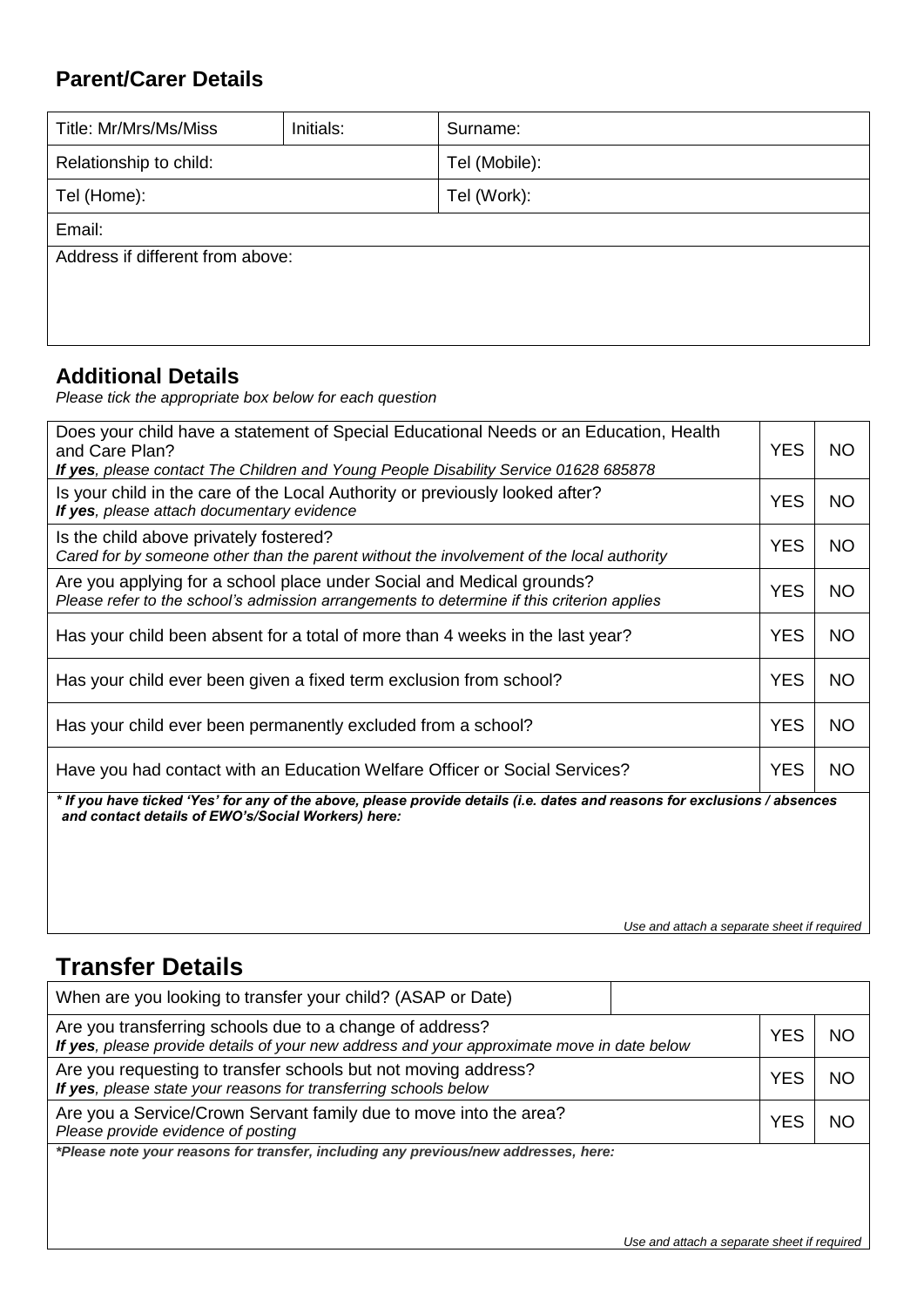### **Parent/Carer Details**

| Title: Mr/Mrs/Ms/Miss            | Initials: | Surname:      |  |  |
|----------------------------------|-----------|---------------|--|--|
| Relationship to child:           |           | Tel (Mobile): |  |  |
| Tel (Home):                      |           | Tel (Work):   |  |  |
| Email:                           |           |               |  |  |
| Address if different from above: |           |               |  |  |
|                                  |           |               |  |  |
|                                  |           |               |  |  |

### **Additional Details**

*Please tick the appropriate box below for each question*

| Does your child have a statement of Special Educational Needs or an Education, Health<br>and Care Plan?<br>If yes, please contact The Children and Young People Disability Service 01628 685878 | <b>YES</b> | <b>NO</b> |  |  |  |
|-------------------------------------------------------------------------------------------------------------------------------------------------------------------------------------------------|------------|-----------|--|--|--|
| Is your child in the care of the Local Authority or previously looked after?<br>If yes, please attach documentary evidence                                                                      | <b>YES</b> | <b>NO</b> |  |  |  |
| Is the child above privately fostered?<br>Cared for by someone other than the parent without the involvement of the local authority                                                             | <b>YES</b> | <b>NO</b> |  |  |  |
| Are you applying for a school place under Social and Medical grounds?<br>Please refer to the school's admission arrangements to determine if this criterion applies                             | <b>YES</b> | <b>NO</b> |  |  |  |
| Has your child been absent for a total of more than 4 weeks in the last year?                                                                                                                   | <b>YES</b> | <b>NO</b> |  |  |  |
| Has your child ever been given a fixed term exclusion from school?                                                                                                                              | <b>YES</b> | <b>NO</b> |  |  |  |
| Has your child ever been permanently excluded from a school?                                                                                                                                    | <b>YES</b> | <b>NO</b> |  |  |  |
| Have you had contact with an Education Welfare Officer or Social Services?                                                                                                                      |            |           |  |  |  |
| * If you have ticked 'Yes' for any of the above, please provide details (i.e. dates and reasons for exclusions / absences<br>and contact details of EWO's/Social Workers) here:                 |            |           |  |  |  |
|                                                                                                                                                                                                 |            |           |  |  |  |
|                                                                                                                                                                                                 |            |           |  |  |  |

*Use and attach a separate sheet if required*

## **Transfer Details**

| When are you looking to transfer your child? (ASAP or Date)                                                                                            |            |    |
|--------------------------------------------------------------------------------------------------------------------------------------------------------|------------|----|
| Are you transferring schools due to a change of address?<br>If yes, please provide details of your new address and your approximate move in date below | <b>YES</b> | ΝC |
| Are you requesting to transfer schools but not moving address?<br>If yes, please state your reasons for transferring schools below                     | <b>YES</b> | NС |
| Are you a Service/Crown Servant family due to move into the area?<br>Please provide evidence of posting                                                | YES        | NС |
| *Please note your reasons for transfer, including any previous/new addresses, here:                                                                    |            |    |